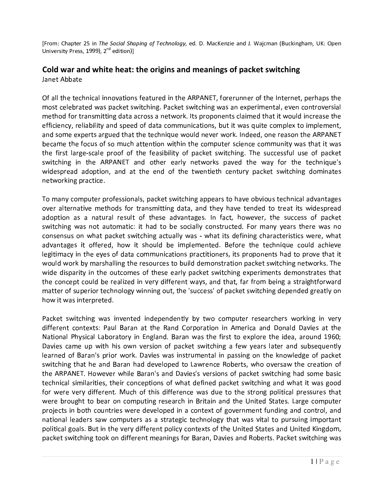[From: Chapter 25 in The Social Shaping of Technology, ed. D. MacKenzie and J. Wajcman (Buckingham, UK: Open <sup>U</sup>niversity Press, 1999), 2nd edition)]

# Cold war and white heat: the origins and meanings of packet switching

Janet Abbate

Of all the technical innovations featured in the ARPANET, forerunner of the Internet, perhans the Orion of the most celebrated was packet switching. Packet switching was an experimental, even controversial <sup>m</sup>ethod for transmitting data across <sup>a</sup> network. Its p<sup>r</sup><sup>o</sup> ponents claimed that it would increase the efficiency, reliability and speed of data communications, but it was quite complex to implement and some experts argued that the technique would never work. Indeed, one reason the ARPANET became <sup>t</sup>he focus of <sup>s</sup><sup>o</sup> much attention <sup>w</sup>ithin the computer science community was that it was <sup>t</sup>he first large-scale proo<sup>f</sup> <sup>o</sup><sup>f</sup> <sup>t</sup>he feasibility <sup>o</sup><sup>f</sup> <sup>p</sup> acket switching . <sup>T</sup>he successful use <sup>o</sup><sup>f</sup> <sup>p</sup> acket switching in <sup>t</sup>he ARPANET and other early networks <sup>p</sup> aved <sup>t</sup>he way for the technique's <sup>w</sup>idespread adop tion, and at <sup>t</sup>he end of <sup>t</sup>he twentieth century <sup>p</sup> acket switching dominates networking practice.

To many computer professionals, packet switching appears to have obvious technical advantages over alternative <sup>m</sup>ethods for transmitting data, and they have tended to treat its <sup>w</sup>idespread adoption as a natural result of these advantages. In fact, however, the success of packet switching was not automatic: it had to be socially constructed. For many years there was no consensus on what packet switching actually was - what its defining characteristics were, what advantages it <sup>o</sup>ffered, how it should be imp lemented. Before the technique could achieve legitimacy in the eyes of data communications practitioners, its proponents had to prove that it would wor<sup>k</sup> by <sup>m</sup>arshalling the <sup>r</sup>esources to build demonstration <sup>p</sup> acket switching networks . The <sup>w</sup>ide <sup>d</sup>isp arity in <sup>t</sup>he outcomes <sup>o</sup><sup>f</sup> <sup>t</sup>hese early <sup>p</sup> acket switching exp eriments demonstrates that <sup>t</sup>he concep <sup>t</sup> could be <sup>r</sup>ealized in very <sup>d</sup><sup>i</sup>fferent ways, and <sup>t</sup>hat, far from being <sup>a</sup> straightforward matter of superior technology winning out, the 'success' of packet switching depended greatly on how it was interpreted.

Packet switching was invented indep endently by two computer <sup>r</sup>esearchers working in very different contexts: Paul Baran at the Rand Corporation in America and Donald Davies at the National Physical Laboratory in England. Baran was <sup>t</sup>he first to exp lore <sup>t</sup>he idea, around 1960; Davies came up with his own version of packet switching a few vears later and subsequently learned <sup>o</sup><sup>f</sup> Baran's prior work. Davies was instrumental in <sup>p</sup> assing on the knowledge <sup>o</sup><sup>f</sup> <sup>p</sup> acket switching <sup>t</sup>hat he and Baran had develop ed to Lawrence Roberts , who oversaw the creation <sup>o</sup><sup>f</sup> <sup>t</sup>he ARPANET. However while Baran's and Davies's versions of <sup>p</sup> acket switching had some basic technical similarities, their conceptions of what defined packet switching and what it was good for were very different. Much of this difference was due to the strong political pressures that were brought to bear on computing research in Britain and the United States. Large computer projects in both countries were developed in a context of government funding and control, and national leaders saw computers as <sup>a</sup> strategic technology that was vital to pursuing important <sup>p</sup>olitical goals . Bu<sup>t</sup> in <sup>t</sup>he very <sup>d</sup><sup>i</sup>fferent <sup>p</sup>olicy contexts of <sup>t</sup>he United States and United Kingdom, <sup>p</sup> acket switching too<sup>k</sup> on <sup>d</sup><sup>i</sup>fferent <sup>m</sup>eanings for Baran, Davies and Roberts . Packet switching was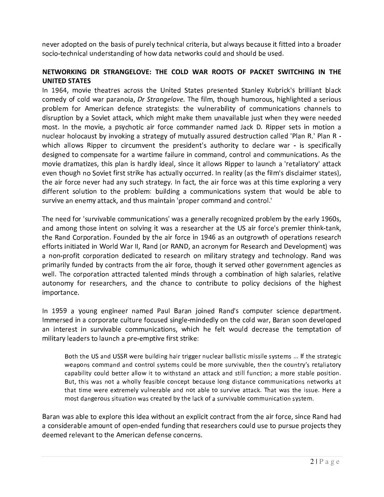never adopted on the basis of purely technical criteria, but always because it fitted into a broader socio-technical <sup>u</sup>nderstanding of how data networks could and should be used.

# NETWORKING DR STRANGELOVE: THE COLD WAR ROOTS OF PACKET SWITCHING IN THE UNITED STATES

In <sup>1964</sup> , <sup>m</sup>ovie <sup>t</sup>heatres across <sup>t</sup>he United States <sup>p</sup><sup>r</sup>esented Stanley Kubrick's brilliant blac<sup>k</sup> comedy of cold war paranoia. *Dr Strangelove*. The film, though humorous, highlighted a serious problem for American defence strategists: the vulnerability of communications channels to <sup>d</sup>isrup tion by <sup>a</sup> Soviet attack , which <sup>m</sup>ight <sup>m</sup><sup>a</sup>ke them unavailable just <sup>w</sup>hen they were needed most In the movie, a psychotic air force commander named Jack D. Ripper sets in motion a nuclear holocaust by invoking <sup>a</sup> strategy <sup>o</sup><sup>f</sup> mutually assured destruction called 'Plan R.' Plan <sup>R</sup> <sup>w</sup>hich allows Ripper to circumvent <sup>t</sup>he president's authority to declare war - is sp ec<sup>i</sup>fically designed to comp ensate for <sup>a</sup> wartime failure in command, control and communications . As <sup>t</sup>he movie dramatizes, this plan is hardly ideal, since it allows Ripper to launch a 'retaliatory' attack even <sup>t</sup>hough no Soviet first str<sup>i</sup>ke has actually occurred. In <sup>r</sup>eality (as <sup>t</sup>he film's disclaimer states) , the air force never had any such strategy. In fact, the air force was at this time exploring a very <sup>d</sup><sup>i</sup>fferent solution to the problem: building <sup>a</sup> communications system that would be able to survive an enemy attack, and thus maintain 'proper command and control.'

<sup>T</sup>he need for 'survivable communications' was <sup>a</sup> generally <sup>r</sup>ecognized p<sup>r</sup>oblem by the early 1960s , and among <sup>t</sup>hose intent on solving it was <sup>a</sup> <sup>r</sup>esearcher at <sup>t</sup>he US <sup>a</sup>ir force's premier <sup>t</sup>hink-tank , <sup>t</sup>he Rand Corporation. Founded by <sup>t</sup>he <sup>a</sup>ir force in <sup>1946</sup> as an outgrowt<sup>h</sup> of <sup>o</sup> <sup>p</sup> erations <sup>r</sup>esearch <sup>e</sup>fforts initiated in World War II, Rand (or RAND, an acronym for Researc<sup>h</sup> and Development) was <sup>a</sup> non-profit corporation dedicated to <sup>r</sup>esearch on <sup>m</sup>ilitary strategy and technology . Rand was <sup>p</sup><sup>r</sup>imarily funded by contracts from the <sup>a</sup>ir force, <sup>t</sup>hough it served other government agencies as well. The corporation attracted talented minds through a combination of high salaries, relative autonomy for <sup>r</sup>esearchers, and <sup>t</sup>he chance to contribute to policy decisions of the highest importance.

In 1959 a voung engineer named Paul Baran joined Rand's computer science department Immersed in a corporate culture focused single-mindedly on the cold war. Baran soon developed an interest in survivable communications, which he felt would decrease the temptation of <sup>m</sup>ilitary leaders to launc<sup>h</sup> <sup>a</sup> <sup>p</sup><sup>r</sup>e-emp <sup>t</sup>ive first str<sup>i</sup>ke :

Both the US and USSR were building hair trigger nuclear ballistic missile systems ... If the strategic weapons command and control systems could be more survivable, then the country's retaliatory capability could better allow it to withstand an attack and still function; a more stable position. But this was not a wholly feasible concept because long distance communications networks at that time were extremely vulnerable and not able to survive attack. That was the issue. Here a most dangerous situation was created by the lack of a survivable communication system.

Baran was able to exp lore this idea without an exp <sup>l</sup>icit contract from the <sup>a</sup>ir force, since Rand had a considerable amount of open-ended funding that researchers could use to pursue projects they deemed relevant to the American defense concerns.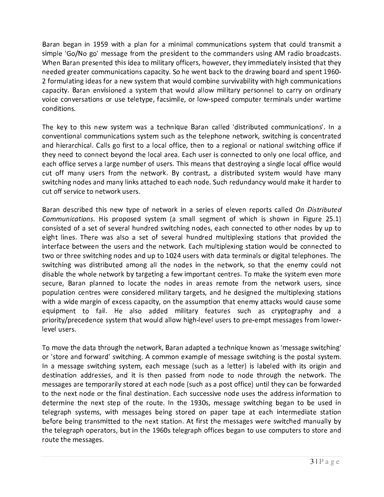Baran began in 1959 with a plan for a minimal communications system that could transmit a simp le 'Go/No go' <sup>m</sup>essage from the p<sup>r</sup>esident to the commanders using AM <sup>r</sup>adio broadcasts . When Baran presented this idea to military officers, however, they immediately insisted that they needed greater communications capacity. So he went back to the drawing board and spent 1960-<sup>2</sup> formulating ideas for <sup>a</sup> new system that would combine survivability wit<sup>h</sup> high communications cap acity . Baran envisioned <sup>a</sup> system <sup>t</sup>hat would allow <sup>m</sup>ilitary <sup>p</sup> ersonnel to carry on ordinary voice conversations or use teletype, facsimile, or low-speed computer terminals under wartime conditions .

<sup>T</sup>he key to this new system was <sup>a</sup> technique Baran called 'distributed communications' . In <sup>a</sup> conventional communications system suc<sup>h</sup> as <sup>t</sup>he telep hone networ<sup>k</sup> , switching is concentrated and hierarchical. Calls go first to a local office, then to a regional or national switching office if they need to connect beyond the local area. Each user is connected to only one local office, and eac<sup>h</sup> <sup>o</sup>ffice serves <sup>a</sup> large number of users . <sup>T</sup>his <sup>m</sup>eans <sup>t</sup>hat destroying <sup>a</sup> single local office would cut off many users from the network. By contrast a distributed system would have many switching nodes and <sup>m</sup>any <sup>l</sup>inks attached to each node. Such <sup>r</sup>edundancy would <sup>m</sup><sup>a</sup>ke it harder to cut off service to network users.

Baran described this new type of network in a series of eleven reports called On Distributed Communications. His proposed system (a small segment of which is shown in Figure 25.1) consisted of a set of several hundred switching nodes, each connected to other nodes by up to eight lines. There was also a set of several hundred multiplexing stations that provided the interface between the users and <sup>t</sup>he network. Each multip lexing station would be connected to two or three switching nodes and up to 1024 users with data terminals or digital telephones. The switching was <sup>d</sup>istributed among all the nodes in <sup>t</sup>he networ<sup>k</sup> , so <sup>t</sup>hat the enemy could not <sup>d</sup>isable the whole networ<sup>k</sup> by targeting <sup>a</sup> few important centres . To <sup>m</sup><sup>a</sup>ke the system even <sup>m</sup>ore secure , Baran <sup>p</sup> lanned to locate the nodes in areas remote from the networ<sup>k</sup> users, since p<sup>o</sup> pulation centres were considered <sup>m</sup>ilitary targets , and he designed the multip lexing stations with a wide margin of excess capacity, on the assumption that enemy attacks would cause some equipment to fail. He also added military features such as cryptography and a <sup>p</sup><sup>r</sup>iority/precedence system that would allow high-level users to pre-emp <sup>t</sup> <sup>m</sup>essages from lowerlevel users.

To move the data through the network. Baran adanted a technique known as 'message switching' or 'store and forward' switching. A common example of message switching is the postal system In <sup>a</sup> <sup>m</sup>essage switching system, eac<sup>h</sup> <sup>m</sup>essage (such as <sup>a</sup> letter) is labeled <sup>w</sup>ith its origin and destination addresses, and it is then passed from node to node through the network. The <sup>m</sup>essages are temporarily stored at eac<sup>h</sup> node (such as <sup>a</sup> post office) <sup>u</sup>ntil they can be forwarded to the next node or the final destination. Eac<sup>h</sup> successive node uses <sup>t</sup>he address information to determine the next step of <sup>t</sup>he <sup>r</sup>oute. In <sup>t</sup>he 1930s , <sup>m</sup>essage switching began to be used in telegrap <sup>h</sup> systems, with <sup>m</sup>essages being stored on <sup>p</sup> ap er tap <sup>e</sup> at each intermediate station before being transmitted to <sup>t</sup>he next station. At first the <sup>m</sup>essages were switched <sup>m</sup>anually by the telegraph operators, but in the 1960s telegraph offices began to use computers to store and route <sup>t</sup>he messages .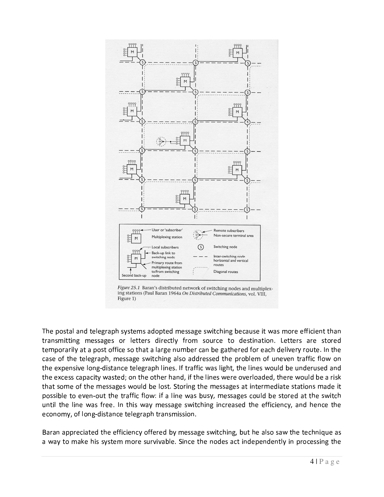

The postal and telegraph systems adopted message switching because it was more efficient than transmitting <sup>m</sup>essages or letters <sup>d</sup>irectly from source to destination. Letters are stored temporarily at <sup>a</sup> post <sup>o</sup>ffice so that <sup>a</sup> large number can be gathered for each delivery <sup>r</sup>oute. In the case of the telegraph, message switching also addressed the problem of uneven traffic flow on the expensive long-distance telegraph lines. If traffic was light, the lines would be underused and the excess capacity wasted; on the other hand, if the lines were overloaded, there would be a risk the strik th that some of the messages would be lost. Storing the messages at intermediate stations made it possible to even-out the traffic flow: if a line was busy, messages could be stored at the switch <sup>u</sup>ntil the <sup>l</sup>ine was free. In <sup>t</sup>his way <sup>m</sup>essage switching increased the <sup>e</sup>fficiency , and hence the economy, <sup>o</sup><sup>f</sup> long-distance telegrap <sup>h</sup> transmission.

Baran appreciated the efficiency offered by message switching, but he also saw the technique as <sup>a</sup> way to <sup>m</sup><sup>a</sup>ke his system <sup>m</sup>ore survivable. <sup>S</sup>ince the nodes act indep endently in processing <sup>t</sup>he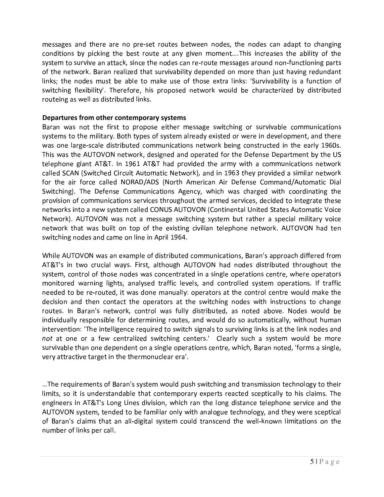messages and there are no pre-set routes between nodes the nodes can adapt to changing conditions by <sup>p</sup> icking the best <sup>r</sup>oute at any given <sup>m</sup>oment….This increases the ability of the system to survive an attack, since the nodes can re-route messages around non-functioning parts <sup>o</sup><sup>f</sup> the networ<sup>k</sup> . Baran <sup>r</sup>ealized <sup>t</sup>hat survivability dep ended on <sup>m</sup>ore <sup>t</sup>han just having <sup>r</sup>edundant links; the nodes must be able to make use of those extra links: 'Survivability is a function of switching flexibility' Therefore, his proposed network would be characterized by distributed <sup>r</sup>outeing as well as distributed <sup>l</sup>inks .

## Departures from other contemporary systems

Baran was not <sup>t</sup>he first to p<sup>r</sup><sup>o</sup> pose <sup>e</sup>ither message switching or survivable communications systems to the military. Both types of system already existed or were in development, and there was one large-scale distributed communications network being constructed in the early 1960s. This was the AUTOVON network, designed and operated for the Defense Department by the US  $\,$ telep hone giant AT&T. In <sup>1961</sup> AT&T had provided the army wit<sup>h</sup> <sup>a</sup> communications networ<sup>k</sup> called SCAN (Switched Circuit Automatic Networ<sup>k</sup>) , and in <sup>1963</sup> they provided <sup>a</sup> similar networ<sup>k</sup> for <sup>t</sup>he <sup>a</sup>ir force called NORAD/ADS (Nort<sup>h</sup> American <sup>A</sup>ir Defense Command/Automatic Dial Switching) . <sup>T</sup>he Defense Communications Agency , which was charged wit<sup>h</sup> coordinating <sup>t</sup>he p<sup>r</sup>ovision of communications services throughout <sup>t</sup>he armed services , decided to integrate these networks into <sup>a</sup> new system called CONUS AUTOVON (Continental United States Automatic Voice Networ<sup>k</sup>) . AUTOVON was not <sup>a</sup> <sup>m</sup>essage switching system but <sup>r</sup>ather <sup>a</sup> sp ecial <sup>m</sup>ilitary voice networ<sup>k</sup> that was built on top <sup>o</sup><sup>f</sup> the existing civilian telep hone networ<sup>k</sup> . AUTOVON had ten switching nodes and came on <sup>l</sup>ine in <sup>A</sup> p<sup>r</sup>il1964.

While AUTOVON was an example of distributed communications. Baran's approach differed from AT&T's in two crucial ways. First, although AUTOVON had nodes distributed throughout the system, control of those nodes was concentrated in a single operations centre, where operators monitored warning lights, analysed traffic levels, and controlled system operations. If traffic needed to be re-routed, it was done manually: operators at the control centre would make the decision and then contact the operators at the switching nodes with instructions to change routes. In Baran's network, control was fully distributed, as noted above. Nodes would be individually responsible for determining routes, and would do so automatically, without human intervention: 'The intelligence required to switch signals to surviving links is at the link nodes and not at one or a few centralized switching centers.' Clearly such a system would be more survivable than one dependent on a single operations centre, which. Baran noted, 'forms a single, which the si very attractive target in the thermonuclear era'.

…The <sup>r</sup>equirements of Baran's system would push switching and transmission technology to their limits, so it is understandable that contemporary experts reacted sceptically to his claims. The engineers in AT&T's Long Lines division, <sup>w</sup>hich <sup>r</sup>an the long distance telep hone service and the AUTOVON system, tended to be familiar only wit<sup>h</sup> analogue technology, and <sup>t</sup>hey were scep tical <sup>o</sup><sup>f</sup> Baran's claims <sup>t</sup>hat an all-digital system could transcend the well-known <sup>l</sup>imitations on the number <sup>o</sup><sup>f</sup> <sup>l</sup>inks <sup>p</sup> er call .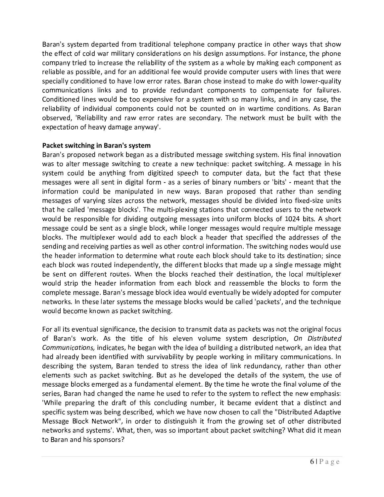Baran's system departed from traditional telephone company practice in other ways that show the effect of cold war military considerations on his design assumptions. For instance, the phone comp any tried to increase the <sup>r</sup>eliability of <sup>t</sup>he system as <sup>a</sup> <sup>w</sup>hole by <sup>m</sup><sup>a</sup>king each component as <sup>r</sup>eliable as <sup>p</sup>ossible, and for an additional fee would provide computer users <sup>w</sup>ith <sup>l</sup>ines <sup>t</sup>hat were specially conditioned to have low error rates. Baran chose instead to make do with lower-quality communications <sup>l</sup>inks and to <sup>p</sup><sup>r</sup>ovide <sup>r</sup>edundant components to comp ensate for failures . Conditioned lines would be too expensive for a system with so many links, and in any case, the <sup>r</sup>eliability <sup>o</sup><sup>f</sup> individual components could not be counted on in wartime conditions . As Baran observed, 'Reliability and <sup>r</sup>aw error <sup>r</sup>ates are secondary . The networ<sup>k</sup> must be built wit<sup>h</sup> <sup>t</sup>he exp ectation of heavy damage anyway' .

#### Packet switching in Baran's system

Baran's proposed network began as a distributed message switching system. His final innovation was to alter message switching to create a new technique: packet switching. A message in his system could be anything from digitized sp eech to computer data, but <sup>t</sup>he fact that <sup>t</sup>hese <sup>m</sup>essages were all sent in digital form - as <sup>a</sup> series of binary numbers or 'bits' - <sup>m</sup>eant that <sup>t</sup>he information could be manipulated in new ways. Baran proposed that rather than sending <sup>m</sup>essages of varying sizes across <sup>t</sup>he networ<sup>k</sup> , <sup>m</sup>essages should be <sup>d</sup>ivided into fixed-size <sup>u</sup>nits that he called 'message blocks'. The multi-plexing stations that connected users to the network would be <sup>r</sup>esponsible for dividing outgoing <sup>m</sup>essages into <sup>u</sup>niform blocks <sup>o</sup><sup>f</sup> <sup>1024</sup> bits . <sup>A</sup> short message could be sent as a single block, while longer messages would require multiple message blocks . <sup>T</sup>he multip lexer would add to eac<sup>h</sup> bloc<sup>k</sup> <sup>a</sup> header <sup>t</sup>hat sp ec<sup>i</sup>fied <sup>t</sup>he addresses of the sending and receiving parties as well as other control information. The switching nodes would use <sup>t</sup>he header information to determine what <sup>r</sup>oute each block should take to its destination; since eac<sup>h</sup> block was <sup>r</sup>outed indep endently , <sup>t</sup>he <sup>d</sup><sup>i</sup>fferent blocks that <sup>m</sup>ade <sup>u</sup> <sup>p</sup> <sup>a</sup> single message might he sent on different routes. When the blocks reached their destination, the local multiplexer would strip the header information from eac<sup>h</sup> block and <sup>r</sup>eassemble the blocks to form <sup>t</sup>he comp lete message. Baran's <sup>m</sup>essage bloc<sup>k</sup> idea would eventually be widely adop ted for computer networks. In these later systems the message blocks would be called 'nackets', and the technique would become known as <sup>p</sup> acket switching .

For all its eventual significance, the decision to transmit data as <sup>p</sup> ackets was not the original focus of Baran's work. As the title of his eleven volume system description. *On Distributed* Communications, indicates, he began with the idea of building a distributed network, an idea that had already been identified <sup>w</sup>ith survivability by <sup>p</sup> eop le working in <sup>m</sup>ilitary communications . In describing the system, Baran tended to stress the idea <sup>o</sup>flink <sup>r</sup>edundancy , <sup>r</sup>ather <sup>t</sup>han other elements suc<sup>h</sup> as <sup>p</sup> acket switching . Bu<sup>t</sup> as he develop ed the details <sup>o</sup><sup>f</sup> <sup>t</sup>he system, the use <sup>o</sup><sup>f</sup> message blocks emerged as a fundamental element. By the time he wrote the final volume of the series , Baran had changed <sup>t</sup>he name he used to <sup>r</sup><sup>e</sup>fer to the system to <sup>r</sup><sup>e</sup>flect the new emp hasis : 'While prep aring the draft of this concluding number , it became evident <sup>t</sup>hat <sup>a</sup> <sup>d</sup>istinct and sp ecific system was being described, which we have now chosen to call <sup>t</sup>he "Distributed Adap tive Message Bloc<sup>k</sup> Network" , in order to <sup>d</sup>istinguish it from the growing set of other <sup>d</sup>istributed networks and systems'. What, then, was so important about packet switching? What did it mean to Baran and his sponsors?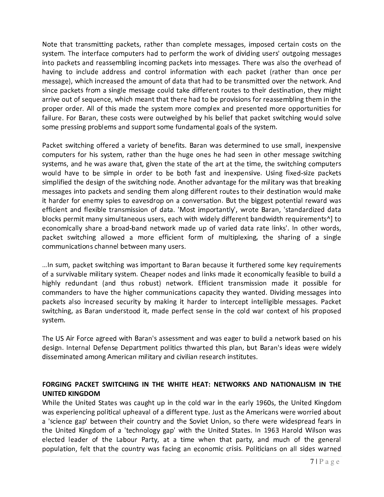Note that transmitting packets, rather than complete messages, imposed certain costs on the system. The interface computers had to perform the work of dividing users' outgoing messages into packets and reassembling incoming packets into messages. There was also the overhead of having to include address and control information <sup>w</sup>ith eac<sup>h</sup> <sup>p</sup> acket (rather than once <sup>p</sup> er message) , which increased <sup>t</sup>he amount <sup>o</sup><sup>f</sup> data that had to be transmitted over the network. And since <sup>p</sup> ackets from <sup>a</sup> single message could take <sup>d</sup><sup>i</sup>fferent <sup>r</sup>outes to <sup>t</sup>heir destination, <sup>t</sup>hey <sup>m</sup>ight arrive out of sequence, which <sup>m</sup>eant <sup>t</sup>hat there had to be <sup>p</sup><sup>r</sup>ovisions for <sup>r</sup>eassembling them in <sup>t</sup>he p<sup>r</sup><sup>o</sup> <sup>p</sup> er order . All <sup>o</sup><sup>f</sup> <sup>t</sup>his <sup>m</sup>ade <sup>t</sup>he system <sup>m</sup>ore comp lex and presented more <sup>o</sup> pportunities for failure. For Baran, <sup>t</sup>hese costs were outweighed by his belie<sup>f</sup> <sup>t</sup>hat <sup>p</sup> acket switching would solve some p<sup>r</sup>essing problems and support some fundamental goals <sup>o</sup><sup>f</sup> the system .

Packet switching offered a variety of henefits. Baran was determined to use small, inexpensive computers for his system, <sup>r</sup>ather than <sup>t</sup>he huge ones he had seen in other <sup>m</sup>essage switching systems, and he was aware that, given the state of the art at the time, the switching computers would have to be simp le in order to be both fast and inexp ensive. Using fixed-size <sup>p</sup> ackets simp <sup>l</sup><sup>i</sup>fied <sup>t</sup>he design of the switching node. Another advantage for <sup>t</sup>he military was that breaking <sup>m</sup>essages into <sup>p</sup> ackets and sending them along different <sup>r</sup>outes to their destination would <sup>m</sup><sup>a</sup>ke it harder for enemy spies to eavesdrop on a conversation. But the biggest potential reward was efficient and flexible transmission of data 'Most importantly', wrote Baran, 'standardized data blocks <sup>p</sup> ermit <sup>m</sup>any simultaneous users, eac<sup>h</sup> with <sup>w</sup>idely <sup>d</sup><sup>i</sup>fferent bandwidt<sup>h</sup> <sup>r</sup>equirements^] to economically share a broad-band network made up of varied data rate links'. In other words, packet switching allowed a more efficient form of multiplexing, the sharing of a single communications <sup>c</sup>hannel between <sup>m</sup>any users .

…In sum, <sup>p</sup> acket switching was important to Baran because it furthered some key <sup>r</sup>equirements <sup>o</sup><sup>f</sup> <sup>a</sup> survivable <sup>m</sup>ilitary system . Cheap er nodes and <sup>l</sup>inks made it economically feasible to build <sup>a</sup> highly redundant (and thus robust) network. Efficient transmission made it possible for commanders to have <sup>t</sup>he higher communications cap acity they wanted. Dividing <sup>m</sup>essages into <sup>p</sup> ackets also increased security by <sup>m</sup><sup>a</sup>king it harder to intercep <sup>t</sup> intelligible messages . Packet switching as Baran understood it made perfect sense in the cold war context of his proposed system.

<sup>T</sup>he US <sup>A</sup>ir Force agreed wit<sup>h</sup> Baran's assessment and was eager to build <sup>a</sup> networ<sup>k</sup> based on his design. Internal Defense Denartment politics thwarted this plan, but Baran's ideas were widely <sup>d</sup>isseminated among American <sup>m</sup>ilitary and <sup>c</sup>ivilian <sup>r</sup>esearch institutes .

# FORGING PACKET SWITCHING IN THE WHITE HEAT: NETWORKS AND NATIONALISM IN THE UNITED KINGDOM

While the United States was caught up in the cold war in the early 1960s, the United Kingdom was experiencing political upheaval of a different type. Just as the Americans were worried about a 'science gap' between their country and the Soviet Union, so there were widespread fears in the United Kingdom of a 'technology gan' with the United States. In 1963 Harold Wilson was elected leader of the Labour Party, at a time when that party, and much of the general p<sup>o</sup> <sup>p</sup>ulation, felt <sup>t</sup>hat the country was facing an economic crisis . Politicians on all sides warned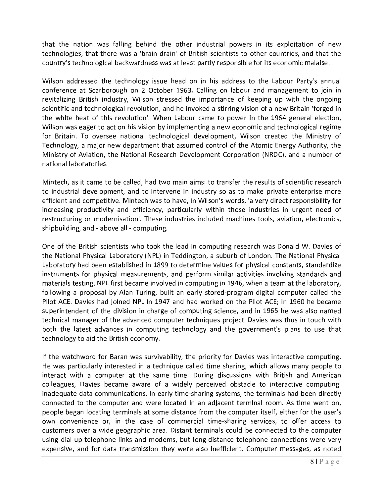<sup>t</sup>hat <sup>t</sup>he nation was falling behind the other industrial powers in its exp loitation of new technologies, that there was a 'brain drain' of British scientists to other countries, and that the country's technological backwardness was at least <sup>p</sup> artly <sup>r</sup>esponsible for its economic <sup>m</sup>alaise.

Wilson addressed the technology issue head on in his address to <sup>t</sup>he Labour Party's annual conference at Scarborough on 2 October 1963. Calling on labour and management to join in <sup>r</sup>evitalizing British industry, <sup>W</sup>ilson stressed <sup>t</sup>he importance <sup>o</sup><sup>f</sup> keep ing <sup>u</sup> <sup>p</sup> <sup>w</sup>ith the ongoing scientific and technological <sup>r</sup>evolution, and he invoked <sup>a</sup> stirring vision of <sup>a</sup> new Britain 'forged in the white heat of this revolution'. When Labour came to power in the 1964 general election, Wilson was eager to act on his vision by implementing a new economic and technological regime for Britain. To oversee national technological development, Wilson created <sup>t</sup>he Ministry of Technology, a major new department that assumed control of the Atomic Energy Authority, the Ministry of Aviation, the National Researc<sup>h</sup> Development Corporation (NRDC) , and <sup>a</sup> number of national laboratories .

Mintech, as it came to be called, had two main aims; to transfer the results of scientific research to industrial development, and to intervene in industry so as to <sup>m</sup><sup>a</sup>ke <sup>p</sup><sup>r</sup>ivate enterprise <sup>m</sup>ore efficient and competitive. Mintech was to have, in Wilson's words, 'a very direct responsibility for increasing productivity and efficiency, particularly within those industries in urgent need of restructuring or modernisation'. These industries included machines tools, aviation, electronics, ship building , and - above all - computing .

One <sup>o</sup><sup>f</sup> the British scientists who took <sup>t</sup>he lead in computing <sup>r</sup>esearc<sup>h</sup> was Donald W. Davies <sup>o</sup><sup>f</sup> <sup>t</sup>he National Physical Laboratory (NPL) in Teddington, <sup>a</sup> suburb <sup>o</sup><sup>f</sup> London. The National Physical Laboratory had been established in <sup>1899</sup> to determine values for <sup>p</sup> hysical constants , standardize instruments for physical measurements, and perform similar activities involving standards and <sup>m</sup>aterials testing . NPL first became involved in computing in <sup>1946</sup> , when <sup>a</sup> team at the laboratory, following a proposal by Alan Turing, built an early stored-program digital computer called the Pilot ACE. Davies had joined NPL in 1947 and had worked on the Pilot ACE; in 1960 he became sup erintendent <sup>o</sup><sup>f</sup> the division in charge <sup>o</sup><sup>f</sup> computing science, and in <sup>1965</sup> he was also named technical manager <sup>o</sup><sup>f</sup> the advanced computer techniques project . Davies was thus in touch <sup>w</sup>ith bot<sup>h</sup> <sup>t</sup>he latest advances in computing technology and <sup>t</sup>he government's <sup>p</sup> lans to use <sup>t</sup>hat technology to <sup>a</sup>id the British economy .

If the watchword for Baran was survivability, the priority for Davies was interactive computing ... He was <sup>p</sup> articularly interested in <sup>a</sup> technique called time sharing , which allows <sup>m</sup>any <sup>p</sup> eop le to interact <sup>w</sup>ith <sup>a</sup> computer at <sup>t</sup>he same time. During <sup>d</sup>iscussions <sup>w</sup>it<sup>h</sup> British and American colleagues , Davies became aware of <sup>a</sup> widely <sup>p</sup> erceived obstacle to interactive computing : inadequate data communications. In early time-sharing systems, the terminals had been directly connected to the computer and were located in an adjacent terminal room. As time went on, <sup>p</sup> eop le began locating terminals at some distance from the computer itsel<sup>f</sup> , <sup>e</sup>ither for <sup>t</sup>he user's own convenience or, in the case of commercial time-sharing services, to offer access to customers over <sup>a</sup> <sup>w</sup>ide geograp hic area . Distant terminals could be connected to the computer using <sup>d</sup>ial-u <sup>p</sup> telep hone <sup>l</sup>inks and <sup>m</sup>odems, but long-distance telep hone connections were very expensive and for data transmission they were also inefficient. Computer messages as noted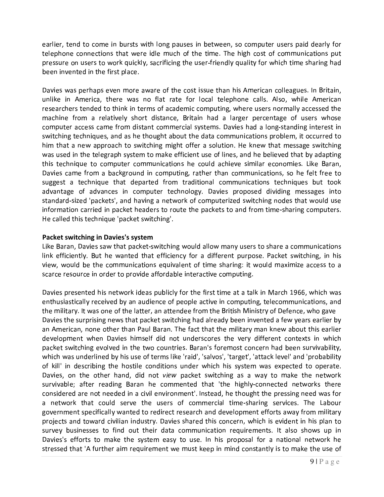earlier, tend to come in bursts with long pauses in between, so computer users paid dearly for telep hone connections <sup>t</sup>hat were idle muc<sup>h</sup> of <sup>t</sup>he time. The high cost of communications pu<sup>t</sup> pressure on users to work quickly, sacrificing the user-friendly quality for which time sharing had been invented in the first <sup>p</sup> lace.

Davies was <sup>p</sup> erhaps even <sup>m</sup>ore aware <sup>o</sup><sup>f</sup> <sup>t</sup>he cost issue <sup>t</sup>han his American colleagues . In Britain , unlike in America, there was no flat rate for local telephone calls. Also, while American <sup>r</sup>esearchers tended to think in terms <sup>o</sup><sup>f</sup> academic computing , <sup>w</sup>here users normally accessed the <sup>m</sup>achine from <sup>a</sup> <sup>r</sup>elatively short distance, Britain had <sup>a</sup> larger <sup>p</sup> ercentage of users whose computer access came from distant commercial systems. Davies had a long-standing interest in switching techniques, and as he thought about the data communications problem, it occurred to him <sup>t</sup>hat <sup>a</sup> new approach to switching <sup>m</sup>ight <sup>o</sup>ffer <sup>a</sup> solution. He knew that <sup>m</sup>essage switching was used in the telegraph system to make efficient use of lines, and he believed that by adapting this technique to computer communications he could achieve similar economies. Like Baran, Davies came from <sup>a</sup> background in computing , <sup>r</sup>ather than communications , so he felt free to suggest <sup>a</sup> technique that dep arted from traditional communications techniques but took advantage of advances in computer technology. Davies proposed dividing messages into standard-sized 'p ackets', and having <sup>a</sup> networ<sup>k</sup> ofcomputerized switching nodes <sup>t</sup>hat would use information carried in packet headers to route the packets to and from time-sharing computers. He called <sup>t</sup>his technique 'p acket switching' .

## Packet switching in Davies's system

Like Baran, Davies saw that packet-switching would allow many users to share a communications link efficiently. But he wanted that efficiency for a different purpose. Packet switching, in his view, would be the communications equivalent of time sharing: it would maximize access to a scarce resource in order to provide affordable interactive computing.

Davies <sup>p</sup><sup>r</sup>esented his networ<sup>k</sup> ideas <sup>p</sup><sup>u</sup>blicly for <sup>t</sup>he first <sup>t</sup>ime at <sup>a</sup> tal<sup>k</sup> in Marc<sup>h</sup> 1966, <sup>w</sup>hich was enthusiastically received by an audience of people active in computing, telecommunications, and the military It was one of the latter, an attendee from the British Ministry of Defence, who gave the struck o Davies the surprising news that packet switching had already been invented a few vears earlier by Dation of th an American, none other than Paul Baran. <sup>T</sup>he fact <sup>t</sup>hat <sup>t</sup>he <sup>m</sup>ilitary man knew about <sup>t</sup>his earlier development when Davies himself <sup>d</sup>id not underscores the very <sup>d</sup><sup>i</sup>fferent contexts in <sup>w</sup>hich packet switching evolved in the two countries. Baran's foremost concern had been survivability. which was underlined by his use of terms like 'raid', 'salvos', 'target', 'attack level' and 'probability, ''' <sup>o</sup><sup>f</sup> kill' in describing <sup>t</sup>he hostile conditions under <sup>w</sup>hich his system was exp ected to <sup>o</sup> <sup>p</sup> erate. Davies, on the other hand, did not *view* packet switching as a way to make the network survivable; <sup>a</sup>fter <sup>r</sup>eading Baran he commented that 'the highly-connected networks there considered are not needed in <sup>a</sup> <sup>c</sup>ivil environment' . Instead, he thought <sup>t</sup>he pressing need was for <sup>a</sup> networ<sup>k</sup> <sup>t</sup>hat could serve the users of commercial time-sharing services . The Labour government sp ecifically wanted to <sup>r</sup>edirect research and development <sup>e</sup>fforts away from <sup>m</sup>ilitary projects and toward civilian industry. Davies shared this concern, which is evident in his plan to survey businesses to find out <sup>t</sup>heir data communication <sup>r</sup>equirements . It also <sup>s</sup>hows <sup>u</sup> <sup>p</sup> in Davies's <sup>e</sup>fforts to <sup>m</sup><sup>a</sup>ke <sup>t</sup>he system easy to use. In his pr<sup>o</sup> posal for <sup>a</sup> national networ<sup>k</sup> he stressed <sup>t</sup>hat 'A further <sup>a</sup>im <sup>r</sup>equirement we must keep in <sup>m</sup>ind constantly is to <sup>m</sup><sup>a</sup>ke the use of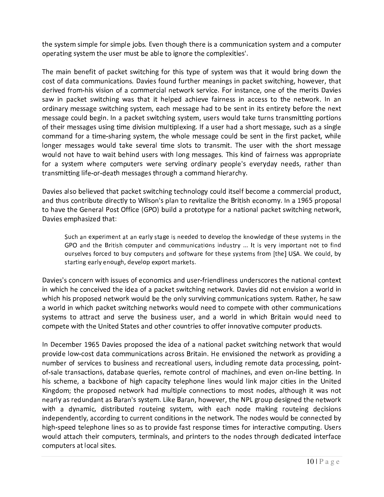the system simple for simple jobs. Even though there is a communication system and a computer <sup>o</sup> <sup>p</sup> erating system <sup>t</sup>he user must be able to ignore <sup>t</sup>he comp lexities' .

The main benefit of packet switching for this type of system was that it would bring down the cost of data communications. Davies found further meanings in packet switching, however, that derived from-his vision <sup>o</sup><sup>f</sup> <sup>a</sup> commercial networ<sup>k</sup> service. For instance, one <sup>o</sup><sup>f</sup> <sup>t</sup>he <sup>m</sup>erits Davies saw in <sup>p</sup> acket switching was that it help ed achieve fairness in access to the network. In an ordinary <sup>m</sup>essage switching system, each <sup>m</sup>essage had to be sent in its entirety before <sup>t</sup>he next <sup>m</sup>essage could begin. In <sup>a</sup> <sup>p</sup> acket switching system, users would take turns transmitting <sup>p</sup>ortions of their messages using time division multiplexing. If a user had a short message, such as a single command for a time-sharing system, the whole message could be sent in the first packet, while longer messages would take several time slots to transmit. The user with the short message would not have to wait behind users with long messages. This kind of fairness was appropriate for a system where computers were serving ordinary people's everyday peeds, rather than transmitting <sup>l</sup><sup>i</sup>fe-or-death <sup>m</sup>essages through <sup>a</sup> command hierarchy .

Davies also believed that packet switching technology could itself become a commercial product. and <sup>t</sup>hus contribute <sup>d</sup>irectly to Wilson's <sup>p</sup> lan to <sup>r</sup>evitalize <sup>t</sup>he British economy . In <sup>a</sup> <sup>1965</sup> pr<sup>o</sup> <sup>p</sup>osalto have the General Post Office (GPO) build <sup>a</sup> <sup>p</sup><sup>r</sup>ototyp <sup>e</sup> for <sup>a</sup> national <sup>p</sup> acket switching networ<sup>k</sup> , Davies emp hasized <sup>t</sup>hat :

Such an experiment at an early stage is needed to develop the knowledge of these systems in the GPO and the British computer and communications industry ... It is very important not to find ourselves forced to buy computers and software for these systems from [the] USA. We could, by starting early enough, develop export markets. I

Davies's concern <sup>w</sup>ith issues of economics and user-friendliness underscores the national context in which he conceived the idea <sup>o</sup><sup>f</sup> <sup>a</sup> <sup>p</sup> acket switching network. Davies did not envision <sup>a</sup> world in which his proposed network would be the only surviving communications system. Rather, he saw a world in which packet switching networks would need to compete with other communications systems to attract and serve the business user, and a world in which Britain would need to comp ete with <sup>t</sup>he United States and other countries to <sup>o</sup>ffer innovative computer products .

In December <sup>1965</sup> Davies p<sup>r</sup><sup>o</sup> <sup>p</sup>osed the idea of <sup>a</sup> national <sup>p</sup> acket switching networ<sup>k</sup> that would p<sup>r</sup>ovide low-cost data communications across Britain. He envisioned <sup>t</sup>he networ<sup>k</sup> as providing <sup>a</sup> number of services to business and recreational users, including remote data processing, pointof-sale transactions, database queries, remote control of machines, and even on-line betting. In his scheme, a backbone of high capacity telephone lines would link major cities in the United Kingdom; <sup>t</sup>he pr<sup>o</sup> posed networ<sup>k</sup> had multip le connections to <sup>m</sup>ost nodes , although it was not nearly as <sup>r</sup>edundant as Baran's system . Like Baran, however , the NPL grou <sup>p</sup> designed <sup>t</sup>he networ<sup>k</sup> <sup>w</sup>ith <sup>a</sup> dynamic , <sup>d</sup>istributed <sup>r</sup>outeing system, wit<sup>h</sup> eac<sup>h</sup> node <sup>m</sup><sup>a</sup>king <sup>r</sup>outeing decisions indep endently , according to current conditions in <sup>t</sup>he networ<sup>k</sup> . The nodes would be connected by high-sp eed telep hone <sup>l</sup>ines so as to p<sup>r</sup>ovide fast <sup>r</sup>esponse times for interactive computing . Users would attach their computers, terminals, and printers to the nodes through dedicated interface computers at local sites .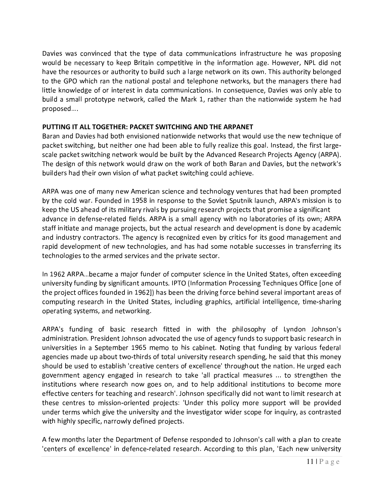Davies was convinced that the type of data communications infrastructure he was proposing would be necessary to keep Britain comp etitive in the information age. However , NPL did not have the <sup>r</sup>esources or authority to build such <sup>a</sup> large networ<sup>k</sup> on its own. <sup>T</sup>his authority belonged to the GPO which ran the national postal and telephone networks, but the managers there had <sup>l</sup>ittle knowledge <sup>o</sup><sup>f</sup> or interest in data communications . In consequence, Davies was only able to build a small prototype network, called the Mark 1, rather than the nationwide system he had p<sup>r</sup><sup>o</sup> posed….

#### PUTTING IT ALL TOGETHER: PACKET SWITCHING AND THE ARPANET

Baran and Davies had bot<sup>h</sup> envisioned nationwide networks that would use <sup>t</sup>he new technique of <sup>p</sup> acket switching , but neither one had been able to fully <sup>r</sup>ealize <sup>t</sup>his goal . Instead, the first largescale <sup>p</sup> acket switching networ<sup>k</sup> would be built by the Advanced Researc<sup>h</sup> Projects Agency (ARPA) . The design of this network would draw on the work of both Baran and Davies, but the network's the state of the builders had their own vision <sup>o</sup><sup>f</sup> <sup>w</sup>hat <sup>p</sup> acket switching could achieve.

ARPA was one <sup>o</sup><sup>f</sup> <sup>m</sup>any new American science and technology ventures that had been promp ted by the cold war. Founded in 1958 in response to the Soviet Sputnik launch. ARPA's mission is to have keep the US <sup>a</sup>head of its <sup>m</sup>ilitary <sup>r</sup>ivals by pursuing <sup>r</sup>esearch p<sup>r</sup>ojects that promise <sup>a</sup> significant advance in defense-related fields. ARPA is a small agency with no laboratories of its own; ARPA staff initiate and manage projects, but the actual research and development is done by academic and industry contractors. The agency is recognized even by critics for its good management and rapid development of new technologies, and has had some notable successes in transferring its technologies to <sup>t</sup>he armed services and the p<sup>r</sup>ivate sector .

In <sup>1962</sup> ARPA…became <sup>a</sup> <sup>m</sup>ajor funder <sup>o</sup><sup>f</sup> computer science in the United States , <sup>o</sup>ften exceeding <sup>u</sup>niversity funding by significant amounts . IPT<sup>O</sup> ( Information Processing Techniques Office [one <sup>o</sup><sup>f</sup> <sup>t</sup>he p<sup>r</sup>oject offices founded in 1962]) has been the driving force behind several important areas of computing research in the United States, including graphics, artificial intelligence, time-sharing <sup>o</sup> <sup>p</sup> erating systems, and networking .

ARPA's funding of basic <sup>r</sup>esearch fitted in <sup>w</sup>ith <sup>t</sup>he <sup>p</sup> hiloso <sup>p</sup> hy of Lyndon Johnson's administration. President Johnson advocated <sup>t</sup>he use of agency funds to support basic <sup>r</sup>esearc<sup>h</sup> in universities in a Sentember 1965 memo to his cabinet. Noting that funding by various federal agencies made up about two-thirds of total university research spending, he said that this money should be used to establish 'creative centers of excellence' throughout <sup>t</sup>he nation. He urged eac<sup>h</sup> government agency engaged in <sup>r</sup>esearc<sup>h</sup> to take 'all p<sup>r</sup>actical <sup>m</sup>easures ... to <sup>s</sup>trengthen the institutions <sup>w</sup>here <sup>r</sup>esearc<sup>h</sup> now goes on, and to help additional institutions to become <sup>m</sup>ore effective centers for teaching and research' . Johnson specifically did not want to limit research at <sup>t</sup>hese centres to <sup>m</sup>ission-oriented p<sup>r</sup>ojects : 'Under this policy <sup>m</sup>ore support will be provided <sup>u</sup>nder terms which give <sup>t</sup>he <sup>u</sup>niversity and the investigator <sup>w</sup>ider scop <sup>e</sup> for inquiry, as contrasted with highly specific, narrowly defined projects. In this with highly specific

A few months later the Department of Defense responded to Johnson's call with a plan to create Andre 'centers <sup>o</sup><sup>f</sup> excellence' in defence-related <sup>r</sup>esearch. According to this <sup>p</sup> lan, 'Each new university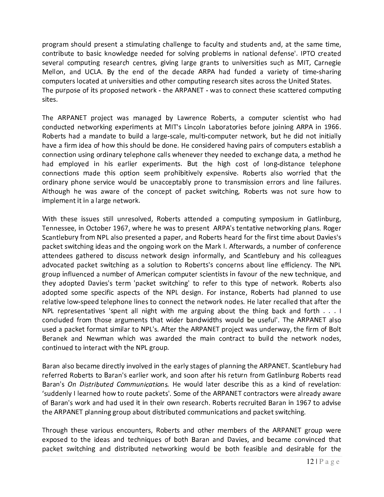<sup>p</sup><sup>r</sup>ogram should <sup>p</sup><sup>r</sup>esent <sup>a</sup> stimulating challenge to faculty and students and, at <sup>t</sup>he same <sup>t</sup>ime , contribute to basic knowledge needed for solving problems in national defense' . IPTO created several computing research centres, giving large grants to universities such as MIT. Carnegie Mellon, and UCLA. By the end of the decade ARPA had funded a variety of time-sharing computers located at <sup>u</sup>niversities and other computing <sup>r</sup>esearc<sup>h</sup> sites across the United States . The purpose of its proposed network - the ARPANET - was to connect these scattered computing sites .

<sup>T</sup>he ARPANET p<sup>r</sup>oject was <sup>m</sup>anaged by Lawrence Roberts , <sup>a</sup> computer scientist who had conducted networking experiments at MIT's Lincoln Laboratories before joining ARPA in 1966. Roberts had <sup>a</sup> <sup>m</sup>andate to build <sup>a</sup> large-scale, multi-computer networ<sup>k</sup> , but he <sup>d</sup>id not initially have <sup>a</sup> firm idea of how this should be done. He considered having <sup>p</sup> <sup>a</sup>irs <sup>o</sup><sup>f</sup> computers establish <sup>a</sup> connection using ordinary telephone calls whenever they needed to exchange data, a method he had employed in his earlier experiments. But the high cost of long-distance telephone connections <sup>m</sup>ade <sup>t</sup>his <sup>o</sup> <sup>p</sup> tion seem <sup>p</sup><sup>r</sup>ohibitively exp ensive. Roberts also worried that the ordinary phone service would be unacceptably prone to transmission errors and line failures. Although he was aware of the concept of packet switching. Roberts was not sure how to imp lement it in <sup>a</sup> large network.

Wit<sup>h</sup> these issues still unresolved, Roberts attended <sup>a</sup> computing symposium in Gatlinburg, Tennessee, in October 1967, where he was to present. ARPA's tentative networking plans. Roger Scantlebury from NPL also presented a paper, and Roberts heard for the first time about Davies's <sup>p</sup> acket switching ideas and the ongoing wor<sup>k</sup> on <sup>t</sup>he Mar<sup>k</sup> <sup>I</sup> . <sup>A</sup>fterwards , <sup>a</sup> number of conference attendees gathered to <sup>d</sup>iscuss networ<sup>k</sup> design informally , and Scantlebury and his colleagues advocated <sup>p</sup> acket switching as <sup>a</sup> <sup>s</sup>olution to Roberts's concerns about <sup>l</sup>ine <sup>e</sup>fficiency . The NPL grou <sup>p</sup> influenced <sup>a</sup> number <sup>o</sup><sup>f</sup> American computer scientists in favour <sup>o</sup><sup>f</sup> <sup>t</sup>he new technique , and they adopted Davies's term 'packet switching' to refer to this type of network. Roberts also adopted some specific aspects of the NPL design. For instance, Roberts had planned to use relative low-speed telephone lines to connect the network nodes. He later recalled that after the NPL representatives 'spent all night with me arguing about the thing back and forth  $\qquad \Box$ concluded from those arguments that wider bandwidths would be useful'. The ARPANET also used <sup>a</sup> <sup>p</sup> acket format similar to NPL's . <sup>A</sup>fter the ARPANET project was underway , the firm of Bolt Berane<sup>k</sup> and Newman which was awarded the <sup>m</sup><sup>a</sup>in contract to build the networ<sup>k</sup> nodes , continued to interact <sup>w</sup>it<sup>h</sup> the NPL grou p.

Baran also became directly involved in the early stages of planning the ARPANET. Scantlebury had referred Roberts to Baran's earlier work, and soon after his return from Gatlinburg Roberts read Baran's *On Distributed Communications*. He would later describe this as a kind of revelation: 'suddenly <sup>I</sup> learned how to <sup>r</sup>oute <sup>p</sup> ackets' . Some <sup>o</sup><sup>f</sup> <sup>t</sup>he ARPANET contractors were already aware <sup>o</sup><sup>f</sup> Baran's wor<sup>k</sup> and had used it in their own <sup>r</sup>esearch. Roberts <sup>r</sup>ecruited Baran in <sup>1967</sup> to advise the ARPANET planning group about distributed communications and packet switching.

Through these various encounters, Roberts and other members of the ARPANET group were exposed to the ideas and techniques of both Baran and Davies, and became convinced that <sup>p</sup> acket switching and <sup>d</sup>istributed networking would be both feasible and desirable for <sup>t</sup>he